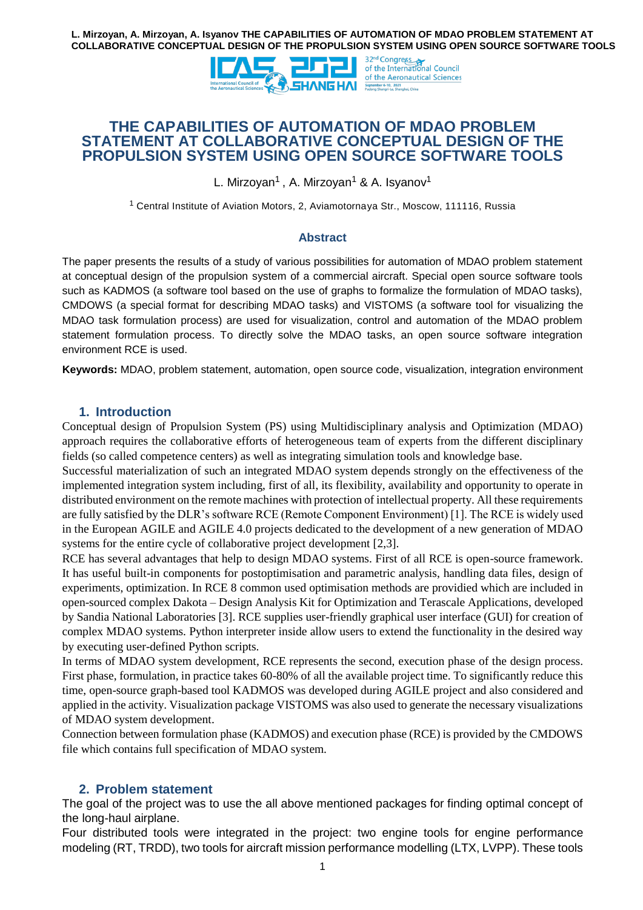

# **THE CAPABILITIES OF AUTOMATION OF MDAO PROBLEM STATEMENT AT COLLABORATIVE CONCEPTUAL DESIGN OF THE PROPULSION SYSTEM USING OPEN SOURCE SOFTWARE TOOLS**

L. Mirzoyan<sup>1</sup> , A. Mirzoyan<sup>1</sup> & A. Isyanov<sup>1</sup>

<sup>1</sup> Central Institute of Aviation Motors, 2, Aviamotornaya Str., Moscow, 111116, Russia

#### **Abstract**

The paper presents the results of a study of various possibilities for automation of MDAO problem statement at conceptual design of the propulsion system of a commercial aircraft. Special open source software tools such as KADMOS (a software tool based on the use of graphs to formalize the formulation of MDAO tasks), CMDOWS (a special format for describing MDAO tasks) and VISTOMS (a software tool for visualizing the MDAO task formulation process) are used for visualization, control and automation of the MDAO problem statement formulation process. To directly solve the MDAO tasks, an open source software integration environment RCE is used.

**Keywords:** MDAO, problem statement, automation, open source code, visualization, integration environment

### **1. Introduction**

Conceptual design of Propulsion System (PS) using Multidisciplinary analysis and Optimization (MDAO) approach requires the collaborative efforts of heterogeneous team of experts from the different disciplinary fields (so called competence centers) as well as integrating simulation tools and knowledge base.

Successful materialization of such an integrated MDAO system depends strongly on the effectiveness of the implemented integration system including, first of all, its flexibility, availability and opportunity to operate in distributed environment on the remote machines with protection of intellectual property. All these requirements are fully satisfied by the DLR's software RCE (Remote Component Environment) [1]. The RCE is widely used in the European AGILE and AGILE 4.0 projects dedicated to the development of a new generation of MDAO systems for the entire cycle of collaborative project development [2,3].

RCE has several advantages that help to design MDAO systems. First of all RCE is open-source framework. It has useful built-in components for postoptimisation and parametric analysis, handling data files, design of experiments, optimization. In RCE 8 common used optimisation methods are providied which are included in open-sourced complex Dakota – Design Analysis Kit for Optimization and Terascale Applications, developed by Sandia National Laboratories [3]. RCE supplies user-friendly graphical user interface (GUI) for creation of complex MDAO systems. Python interpreter inside allow users to extend the functionality in the desired way by executing user-defined Python scripts.

In terms of MDAO system development, RCE represents the second, execution phase of the design process. First phase, formulation, in practice takes 60-80% of all the available project time. To significantly reduce this time, open-source graph-based tool KADMOS was developed during AGILE project and also considered and applied in the activity. Visualization package VISTOMS was also used to generate the necessary visualizations of MDAO system development.

Connection between formulation phase (KADMOS) and execution phase (RCE) is provided by the CMDOWS file which contains full specification of MDAO system.

### **2. Problem statement**

The goal of the project was to use the all above mentioned packages for finding optimal concept of the long-haul airplane.

Four distributed tools were integrated in the project: two engine tools for engine performance modeling (RT, TRDD), two tools for aircraft mission performance modelling (LTX, LVPP). These tools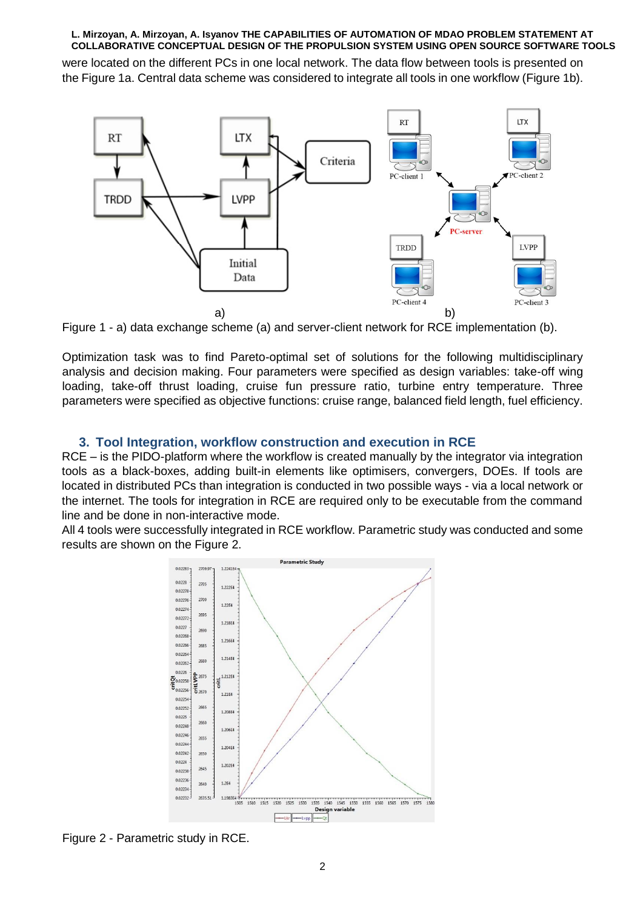were located on the different PCs in one local network. The data flow between tools is presented on the Figure 1a. Central data scheme was considered to integrate all tools in one workflow (Figure 1b).



Figure 1 - a) data exchange scheme (a) and server-client network for RCE implementation (b).

Optimization task was to find Pareto-optimal set of solutions for the following multidisciplinary analysis and decision making. Four parameters were specified as design variables: take-off wing loading, take-off thrust loading, cruise fun pressure ratio, turbine entry temperature. Three parameters were specified as objective functions: cruise range, balanced field length, fuel efficiency.

### **3. Tool Integration, workflow construction and execution in RCE**

RCE – is the PIDO-platform where the workflow is created manually by the integrator via integration tools as a black-boxes, adding built-in elements like optimisers, convergers, DOEs. If tools are located in distributed PCs than integration is conducted in two possible ways - via a local network or the internet. The tools for integration in RCE are required only to be executable from the command line and be done in non-interactive mode.

All 4 tools were successfully integrated in RCE workflow. Parametric study was conducted and some results are shown on the Figure 2.



Figure 2 - Parametric study in RCE.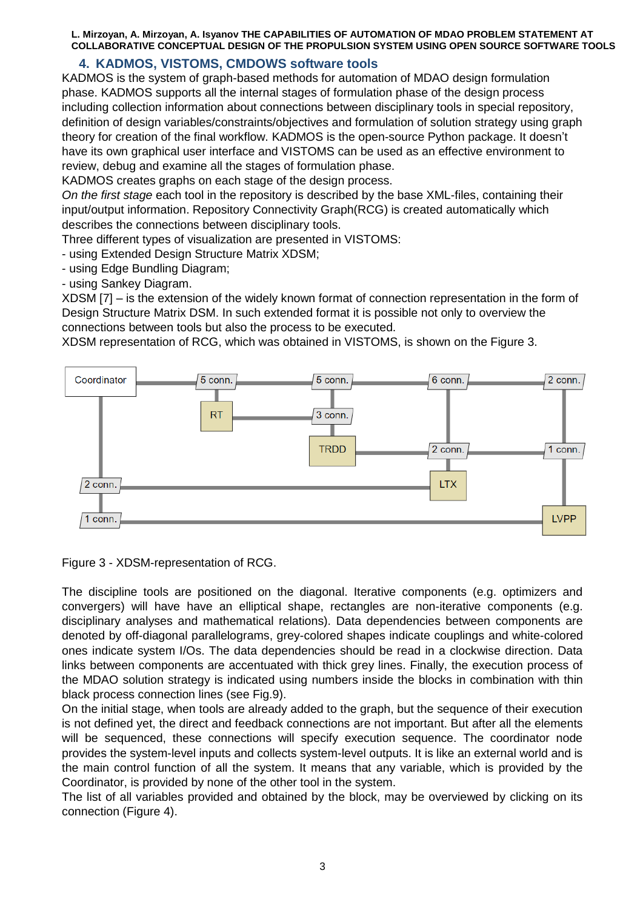## **4. KADMOS, VISTOMS, CMDOWS software tools**

KADMOS is the system of graph-based methods for automation of MDAO design formulation phase. KADMOS supports all the internal stages of formulation phase of the design process including collection information about connections between disciplinary tools in special repository, definition of design variables/constraints/objectives and formulation of solution strategy using graph theory for creation of the final workflow. KADMOS is the open-source Python package. It doesn't have its own graphical user interface and VISTOMS can be used as an effective environment to review, debug and examine all the stages of formulation phase.

KADMOS creates graphs on each stage of the design process.

*On the first stage* each tool in the repository is described by the base XML-files, containing their input/output information. Repository Connectivity Graph(RCG) is created automatically which describes the connections between disciplinary tools.

Three different types of visualization are presented in VISTOMS:

- using Extended Design Structure Matrix XDSM;

- using Edge Bundling Diagram;

- using Sankey Diagram.

XDSM [7] – is the extension of the widely known format of connection representation in the form of Design Structure Matrix DSM. In such extended format it is possible not only to overview the connections between tools but also the process to be executed.

XDSM representation of RCG, which was obtained in VISTOMS, is shown on the Figure 3.



Figure 3 - XDSM-representation of RCG.

The discipline tools are positioned on the diagonal. Iterative components (e.g. optimizers and convergers) will have have an elliptical shape, rectangles are non-iterative components (e.g. disciplinary analyses and mathematical relations). Data dependencies between components are denoted by off-diagonal parallelograms, grey-colored shapes indicate couplings and white-colored ones indicate system I/Os. The data dependencies should be read in a clockwise direction. Data links between components are accentuated with thick grey lines. Finally, the execution process of the MDAO solution strategy is indicated using numbers inside the blocks in combination with thin black process connection lines (see Fig.9).

On the initial stage, when tools are already added to the graph, but the sequence of their execution is not defined yet, the direct and feedback connections are not important. But after all the elements will be sequenced, these connections will specify execution sequence. The coordinator node provides the system-level inputs and collects system-level outputs. It is like an external world and is the main control function of all the system. It means that any variable, which is provided by the Coordinator, is provided by none of the other tool in the system.

The list of all variables provided and obtained by the block, may be overviewed by clicking on its connection (Figure 4).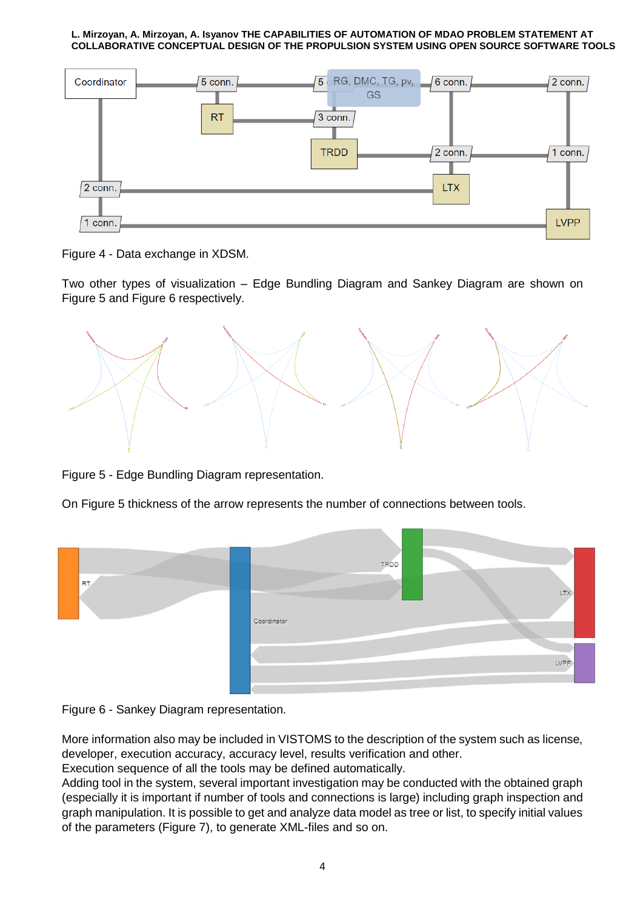

Figure 4 - Data exchange in XDSM.

Two other types of visualization – Edge Bundling Diagram and Sankey Diagram are shown on Figure 5 and Figure 6 respectively.



Figure 5 - Edge Bundling Diagram representation.

On Figure 5 thickness of the arrow represents the number of connections between tools.





More information also may be included in VISTOMS to the description of the system such as license, developer, execution accuracy, accuracy level, results verification and other.

Execution sequence of all the tools may be defined automatically.

Adding tool in the system, several important investigation may be conducted with the obtained graph (especially it is important if number of tools and connections is large) including graph inspection and graph manipulation. It is possible to get and analyze data model as tree or list, to specify initial values of the parameters (Figure 7), to generate XML-files and so on.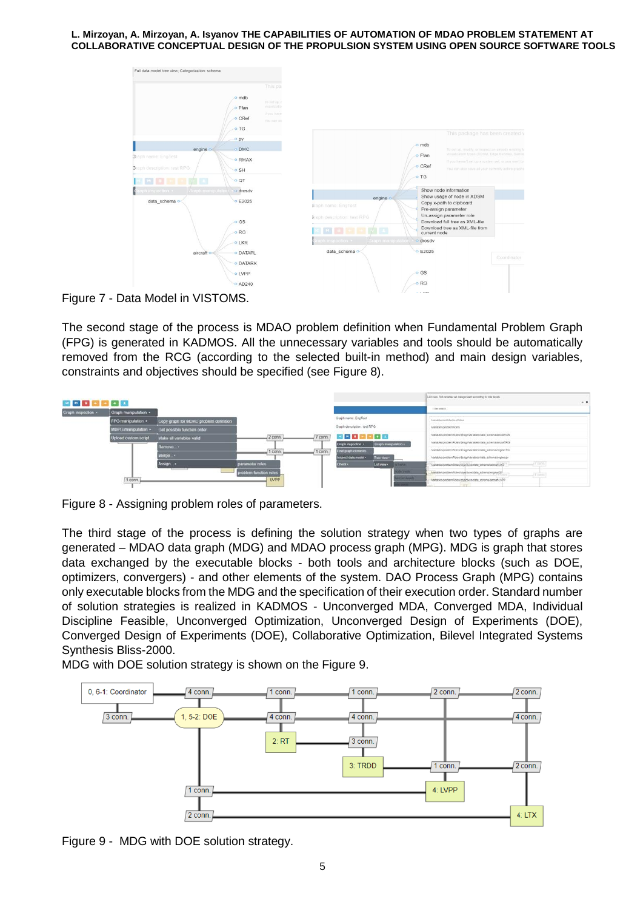

Figure 7 - Data Model in VISTOMS.

The second stage of the process is MDAO problem definition when Fundamental Problem Graph (FPG) is generated in KADMOS. All the unnecessary variables and tools should be automatically removed from the RCG (according to the selected built-in method) and main design variables, constraints and objectives should be specified (see Figure 8).



Figure 8 - Assigning problem roles of parameters.

The third stage of the process is defining the solution strategy when two types of graphs are generated – MDAO data graph (MDG) and MDAO process graph (MPG). MDG is graph that stores data exchanged by the executable blocks - both tools and architecture blocks (such as DOE, optimizers, convergers) - and other elements of the system. DAO Process Graph (MPG) contains only executable blocks from the MDG and the specification of their execution order. Standard number of solution strategies is realized in KADMOS - Unconverged MDA, Converged MDA, Individual Discipline Feasible, Unconverged Optimization, Unconverged Design of Experiments (DOE), Converged Design of Experiments (DOE), Collaborative Optimization, Bilevel Integrated Systems Synthesis Bliss-2000.

MDG with DOE solution strategy is shown on the Figure 9.



Figure 9 - MDG with DOE solution strategy.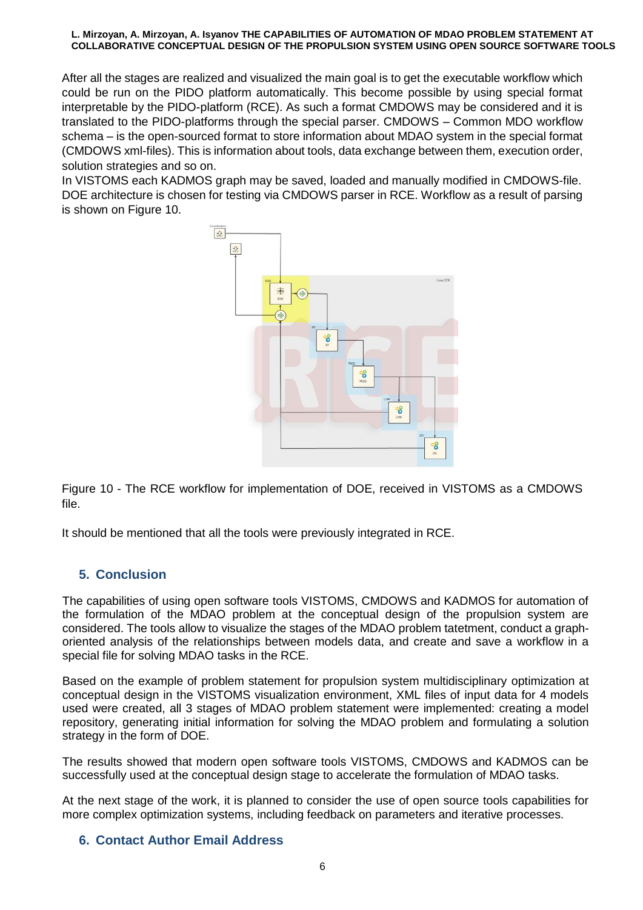After all the stages are realized and visualized the main goal is to get the executable workflow which could be run on the PIDO platform automatically. This become possible by using special format interpretable by the PIDO-platform (RCE). As such a format CMDOWS may be considered and it is translated to the PIDO-platforms through the special parser. CMDOWS – Common MDO workflow schema – is the open-sourced format to store information about MDAO system in the special format (CMDOWS xml-files). This is information about tools, data exchange between them, execution order, solution strategies and so on.

In VISTOMS each KADMOS graph may be saved, loaded and manually modified in CMDOWS-file. DOE architecture is chosen for testing via CMDOWS parser in RCE. Workflow as a result of parsing is shown on Figure 10.



Figure 10 - The RCE workflow for implementation of DOE, received in VISTOMS as a CMDOWS file.

It should be mentioned that all the tools were previously integrated in RCE.

# **5. Conclusion**

The capabilities of using open software tools VISTOMS, CMDOWS and KADMOS for automation of the formulation of the MDAO problem at the conceptual design of the propulsion system are considered. The tools allow to visualize the stages of the MDAO problem tatetment, conduct a graphoriented analysis of the relationships between models data, and create and save a workflow in a special file for solving MDAO tasks in the RCE.

Based on the example of problem statement for propulsion system multidisciplinary optimization at conceptual design in the VISTOMS visualization environment, XML files of input data for 4 models used were created, all 3 stages of MDAO problem statement were implemented: creating a model repository, generating initial information for solving the MDAO problem and formulating a solution strategy in the form of DOE.

The results showed that modern open software tools VISTOMS, CMDOWS and KADMOS can be successfully used at the conceptual design stage to accelerate the formulation of MDAO tasks.

At the next stage of the work, it is planned to consider the use of open source tools capabilities for more complex optimization systems, including feedback on parameters and iterative processes.

## **6. Contact Author Email Address**